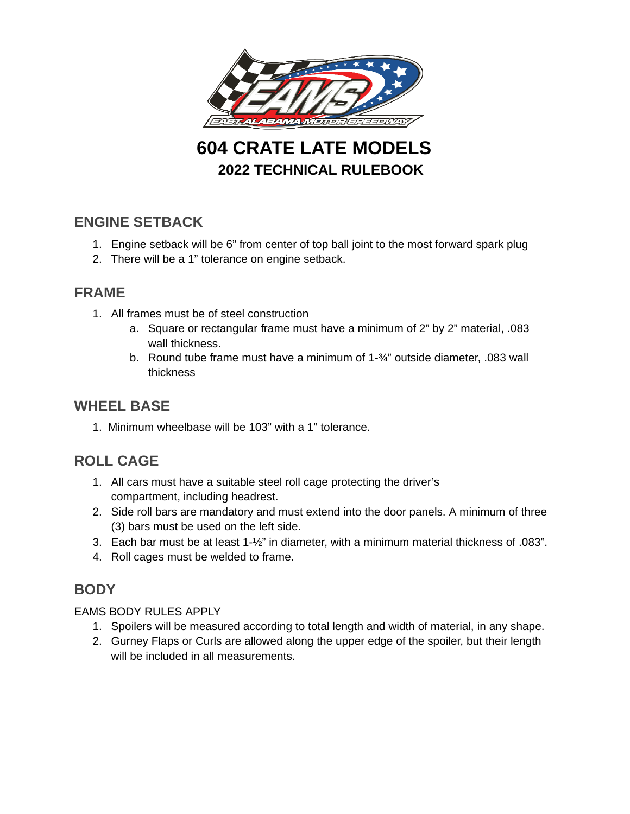

**604 CRATE LATE MODELS 2022 TECHNICAL RULEBOOK**

# **ENGINE SETBACK**

- 1. Engine setback will be 6" from center of top ball joint to the most forward spark plug
- 2. There will be a 1" tolerance on engine setback.

### **FRAME**

- 1. All frames must be of steel construction
	- a. Square or rectangular frame must have a minimum of 2" by 2" material, .083 wall thickness.
	- b. Round tube frame must have a minimum of 1-¾" outside diameter, .083 wall thickness

#### **WHEEL BASE**

1. Minimum wheelbase will be 103" with a 1" tolerance.

# **ROLL CAGE**

- 1. All cars must have a suitable steel roll cage protecting the driver's compartment, including headrest.
- 2. Side roll bars are mandatory and must extend into the door panels. A minimum of three (3) bars must be used on the left side.
- 3. Each bar must be at least 1-½" in diameter, with a minimum material thickness of .083".
- 4. Roll cages must be welded to frame.

# **BODY**

#### EAMS BODY RULES APPLY

- 1. Spoilers will be measured according to total length and width of material, in any shape.
- 2. Gurney Flaps or Curls are allowed along the upper edge of the spoiler, but their length will be included in all measurements.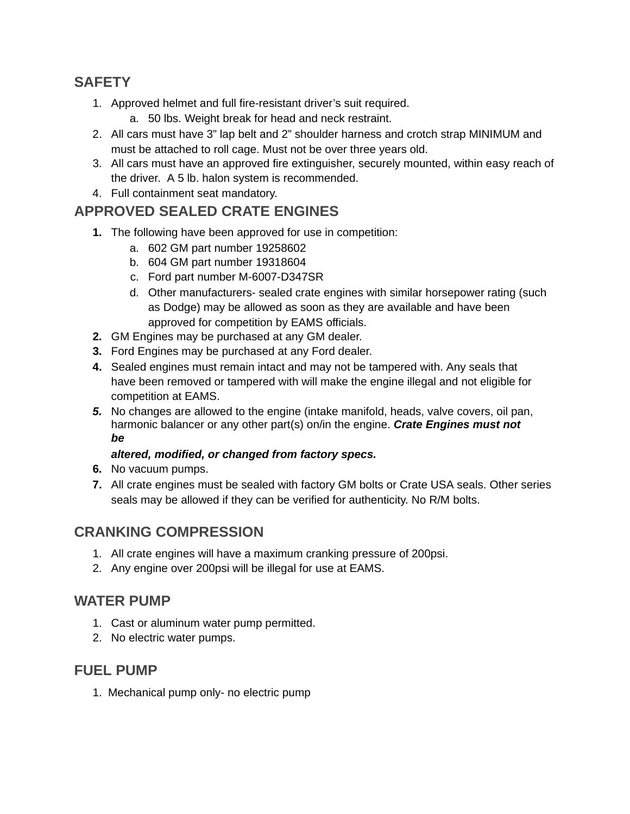# **SAFETY**

- 1. Approved helmet and full fire-resistant driver's suit required.
	- a. 50 lbs. Weight break for head and neck restraint.
- 2. All cars must have 3" lap belt and 2" shoulder harness and crotch strap MINIMUM and must be attached to roll cage. Must not be over three years old.
- 3. All cars must have an approved fire extinguisher, securely mounted, within easy reach of the driver. A 5 lb. halon system is recommended.
- 4. Full containment seat mandatory.

# **APPROVED SEALED CRATE ENGINES**

- **1.** The following have been approved for use in competition:
	- a. 602 GM part number 19258602
	- b. 604 GM part number 19318604
	- c. Ford part number M-6007-D347SR
	- d. Other manufacturers- sealed crate engines with similar horsepower rating (such as Dodge) may be allowed as soon as they are available and have been approved for competition by EAMS officials.
- **2.** GM Engines may be purchased at any GM dealer.
- **3.** Ford Engines may be purchased at any Ford dealer.
- **4.** Sealed engines must remain intact and may not be tampered with. Any seals that have been removed or tampered with will make the engine illegal and not eligible for competition at EAMS.
- *5.* No changes are allowed to the engine (intake manifold, heads, valve covers, oil pan, harmonic balancer or any other part(s) on/in the engine. *Crate Engines must not be*

### *altered, modified, or changed from factory specs.*

- **6.** No vacuum pumps.
- **7.** All crate engines must be sealed with factory GM bolts or Crate USA seals. Other series seals may be allowed if they can be verified for authenticity. No R/M bolts.

# **CRANKING COMPRESSION**

- 1. All crate engines will have a maximum cranking pressure of 200psi.
- 2. Any engine over 200psi will be illegal for use at EAMS.

# **WATER PUMP**

- 1. Cast or aluminum water pump permitted.
- 2. No electric water pumps.

# **FUEL PUMP**

1. Mechanical pump only- no electric pump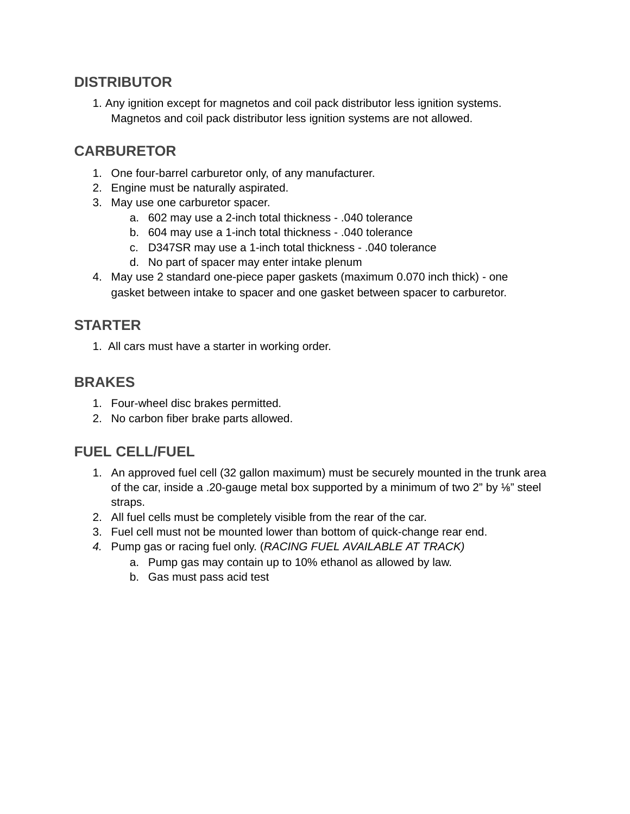# **DISTRIBUTOR**

1. Any ignition except for magnetos and coil pack distributor less ignition systems. Magnetos and coil pack distributor less ignition systems are not allowed.

# **CARBURETOR**

- 1. One four-barrel carburetor only, of any manufacturer.
- 2. Engine must be naturally aspirated.
- 3. May use one carburetor spacer.
	- a. 602 may use a 2-inch total thickness .040 tolerance
	- b. 604 may use a 1-inch total thickness .040 tolerance
	- c. D347SR may use a 1-inch total thickness .040 tolerance
	- d. No part of spacer may enter intake plenum
- 4. May use 2 standard one-piece paper gaskets (maximum 0.070 inch thick) one gasket between intake to spacer and one gasket between spacer to carburetor.

### **STARTER**

1. All cars must have a starter in working order.

### **BRAKES**

- 1. Four-wheel disc brakes permitted.
- 2. No carbon fiber brake parts allowed.

# **FUEL CELL/FUEL**

- 1. An approved fuel cell (32 gallon maximum) must be securely mounted in the trunk area of the car, inside a .20-gauge metal box supported by a minimum of two 2" by  $\frac{1}{2}$ " steel straps.
- 2. All fuel cells must be completely visible from the rear of the car.
- 3. Fuel cell must not be mounted lower than bottom of quick-change rear end.
- *4.* Pump gas or racing fuel only. (*RACING FUEL AVAILABLE AT TRACK)*
	- a. Pump gas may contain up to 10% ethanol as allowed by law.
	- b. Gas must pass acid test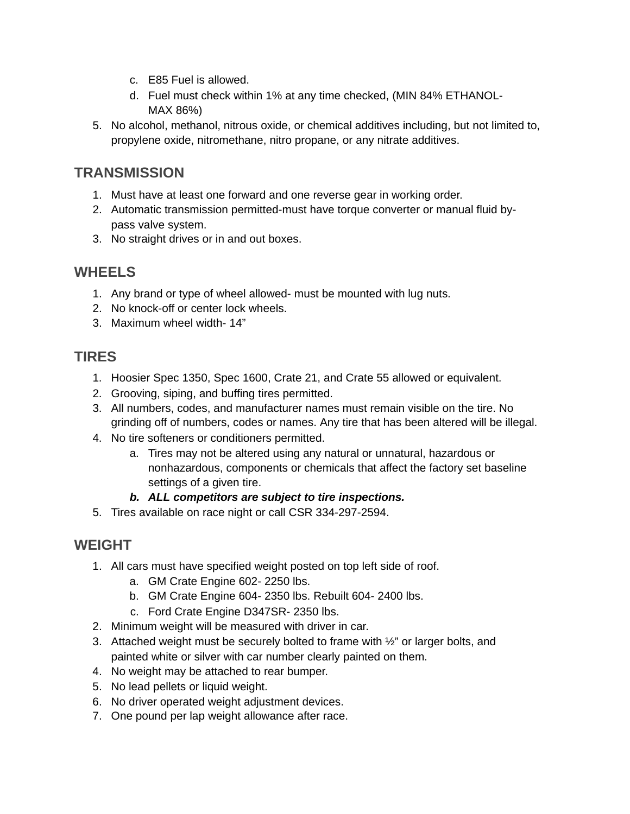- c. E85 Fuel is allowed.
- d. Fuel must check within 1% at any time checked, (MIN 84% ETHANOL-MAX 86%)
- 5. No alcohol, methanol, nitrous oxide, or chemical additives including, but not limited to, propylene oxide, nitromethane, nitro propane, or any nitrate additives.

# **TRANSMISSION**

- 1. Must have at least one forward and one reverse gear in working order.
- 2. Automatic transmission permitted-must have torque converter or manual fluid bypass valve system.
- 3. No straight drives or in and out boxes.

# **WHEELS**

- 1. Any brand or type of wheel allowed- must be mounted with lug nuts.
- 2. No knock-off or center lock wheels.
- 3. Maximum wheel width- 14"

# **TIRES**

- 1. Hoosier Spec 1350, Spec 1600, Crate 21, and Crate 55 allowed or equivalent.
- 2. Grooving, siping, and buffing tires permitted.
- 3. All numbers, codes, and manufacturer names must remain visible on the tire. No grinding off of numbers, codes or names. Any tire that has been altered will be illegal.
- 4. No tire softeners or conditioners permitted.
	- a. Tires may not be altered using any natural or unnatural, hazardous or nonhazardous, components or chemicals that affect the factory set baseline settings of a given tire.

#### *b. ALL competitors are subject to tire inspections.*

5. Tires available on race night or call CSR 334-297-2594.

# **WEIGHT**

- 1. All cars must have specified weight posted on top left side of roof.
	- a. GM Crate Engine 602- 2250 lbs.
	- b. GM Crate Engine 604- 2350 lbs. Rebuilt 604- 2400 lbs.
	- c. Ford Crate Engine D347SR- 2350 lbs.
- 2. Minimum weight will be measured with driver in car.
- 3. Attached weight must be securely bolted to frame with  $\frac{1}{2}$  or larger bolts, and painted white or silver with car number clearly painted on them.
- 4. No weight may be attached to rear bumper.
- 5. No lead pellets or liquid weight.
- 6. No driver operated weight adjustment devices.
- 7. One pound per lap weight allowance after race.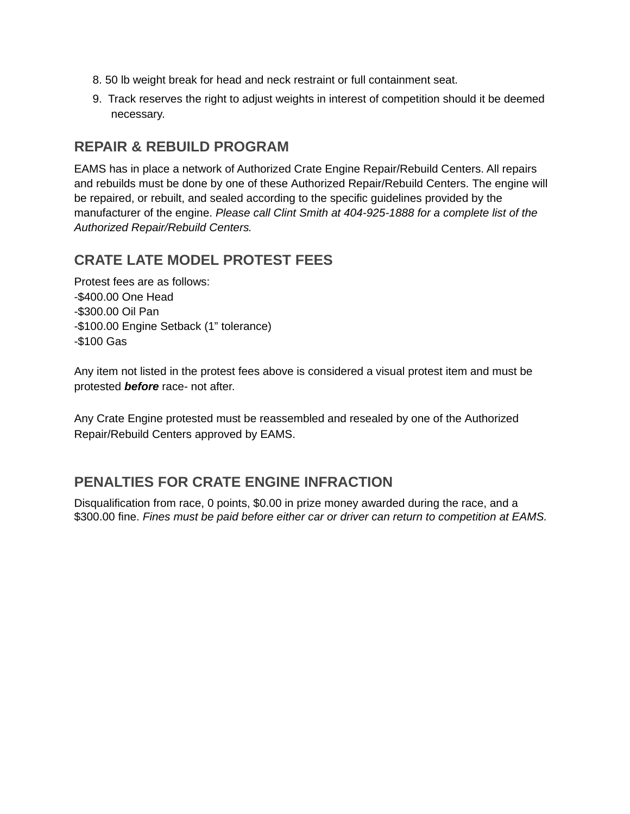- 8. 50 lb weight break for head and neck restraint or full containment seat.
- 9. Track reserves the right to adjust weights in interest of competition should it be deemed necessary.

# **REPAIR & REBUILD PROGRAM**

EAMS has in place a network of Authorized Crate Engine Repair/Rebuild Centers. All repairs and rebuilds must be done by one of these Authorized Repair/Rebuild Centers. The engine will be repaired, or rebuilt, and sealed according to the specific guidelines provided by the manufacturer of the engine. *Please call Clint Smith at 404-925-1888 for a complete list of the Authorized Repair/Rebuild Centers.*

# **CRATE LATE MODEL PROTEST FEES**

Protest fees are as follows: -\$400.00 One Head -\$300.00 Oil Pan -\$100.00 Engine Setback (1" tolerance) -\$100 Gas

Any item not listed in the protest fees above is considered a visual protest item and must be protested *before* race- not after.

Any Crate Engine protested must be reassembled and resealed by one of the Authorized Repair/Rebuild Centers approved by EAMS.

# **PENALTIES FOR CRATE ENGINE INFRACTION**

Disqualification from race, 0 points, \$0.00 in prize money awarded during the race, and a \$300.00 fine. *Fines must be paid before either car or driver can return to competition at EAMS.*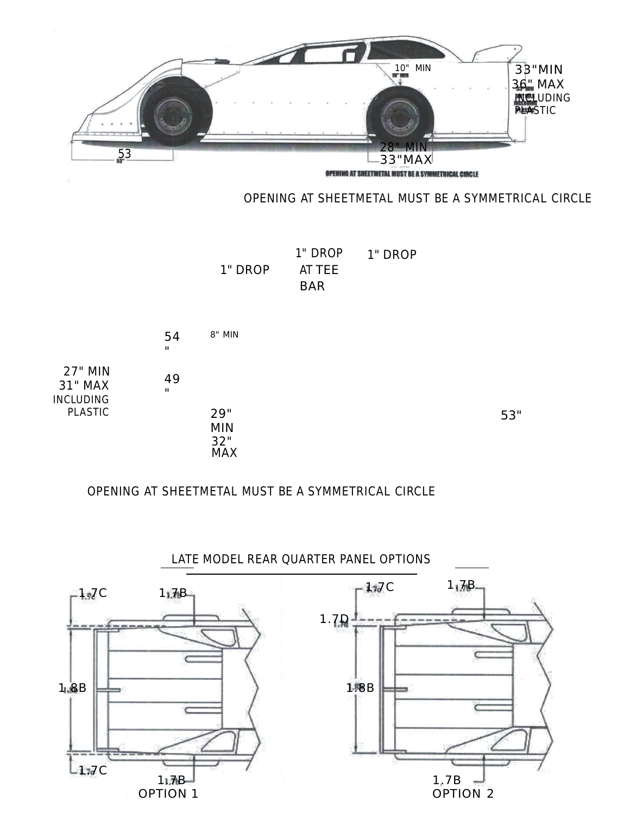

#### OPENING AT SHEETMETAL MUST BE A SYMMETRICAL CIRCLE

1" DROP 1" DROP AT TEE BAR 1" DROP



#### OPENING AT SHEETMETAL MUST BE A SYMMETRICAL CIRCLE



### LATE MODEL REAR QUARTER PANEL OPTIONS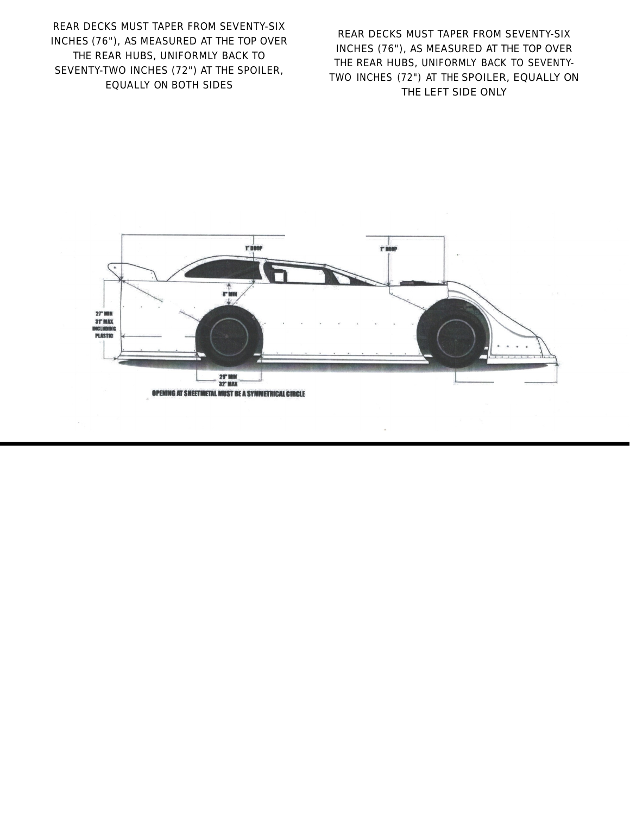REAR DECKS MUST TAPER FROM SEVENTY-SIX INCHES (76"), AS MEASURED AT THE TOP OVER THE REAR HUBS, UNIFORMLY BACK TO SEVENTY-TWO INCHES (72") AT THE SPOILER, EQUALLY ON BOTH SIDES

REAR DECKS MUST TAPER FROM SEVENTY-SIX INCHES (76"), AS MEASURED AT THE TOP OVER THE REAR HUBS, UNIFORMLY BACK TO SEVENTY-TWO INCHES (72") AT THE SPOILER, EQUALLY ON THE LEFT SIDE ONLY